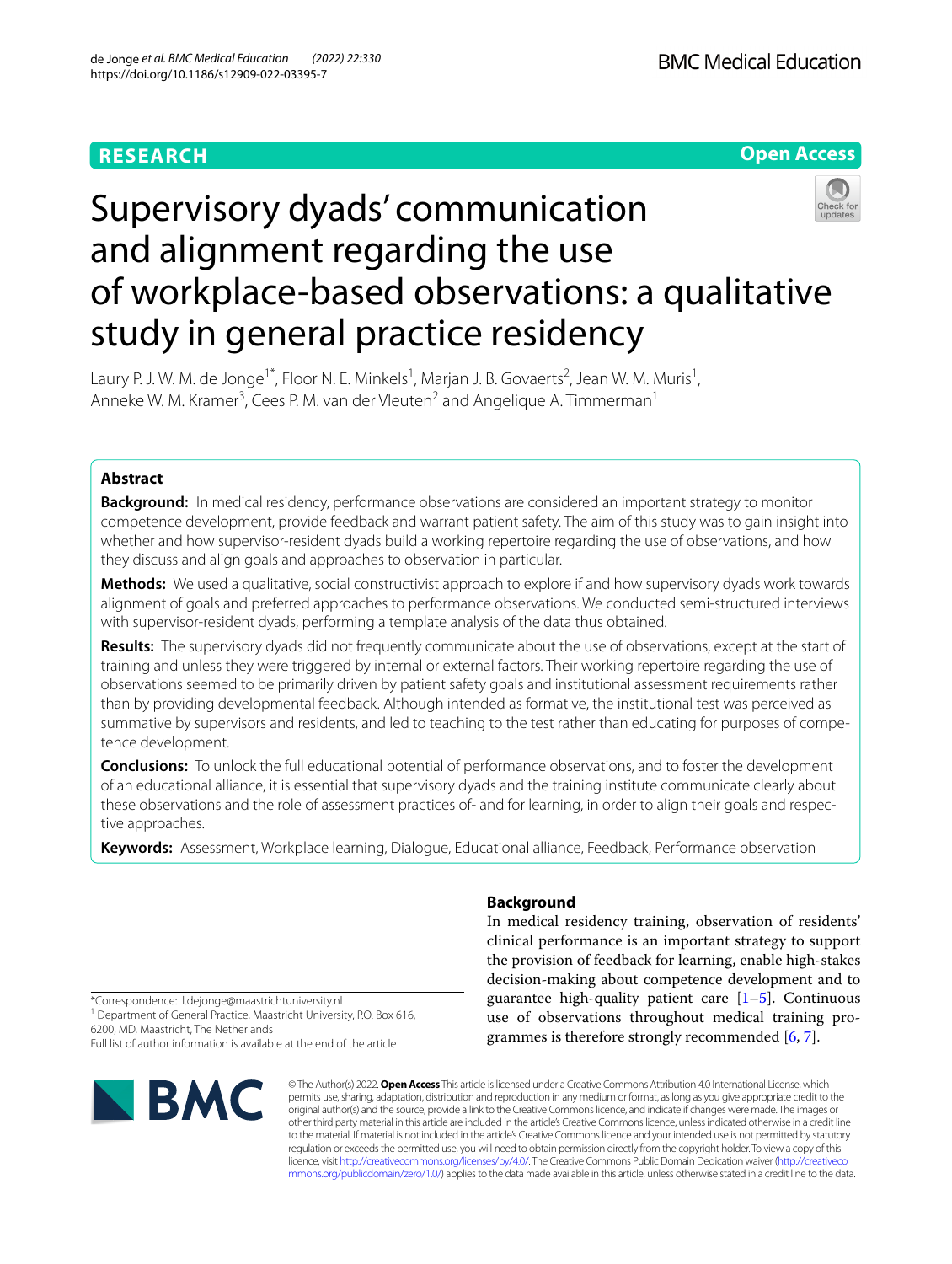## **RESEARCH**



# Supervisory dyads' communication and alignment regarding the use of workplace-based observations: a qualitative study in general practice residency

Laury P. J. W. M. de Jonge<sup>1\*</sup>, Floor N. E. Minkels<sup>1</sup>, Marjan J. B. Govaerts<sup>2</sup>, Jean W. M. Muris<sup>1</sup>, Anneke W. M. Kramer<sup>3</sup>, Cees P. M. van der Vleuten<sup>2</sup> and Angelique A. Timmerman<sup>1</sup>

## **Abstract**

**Background:** In medical residency, performance observations are considered an important strategy to monitor competence development, provide feedback and warrant patient safety. The aim of this study was to gain insight into whether and how supervisor-resident dyads build a working repertoire regarding the use of observations, and how they discuss and align goals and approaches to observation in particular.

**Methods:** We used a qualitative, social constructivist approach to explore if and how supervisory dyads work towards alignment of goals and preferred approaches to performance observations. We conducted semi-structured interviews with supervisor-resident dyads, performing a template analysis of the data thus obtained.

**Results:** The supervisory dyads did not frequently communicate about the use of observations, except at the start of training and unless they were triggered by internal or external factors. Their working repertoire regarding the use of observations seemed to be primarily driven by patient safety goals and institutional assessment requirements rather than by providing developmental feedback. Although intended as formative, the institutional test was perceived as summative by supervisors and residents, and led to teaching to the test rather than educating for purposes of competence development.

**Conclusions:** To unlock the full educational potential of performance observations, and to foster the development of an educational alliance, it is essential that supervisory dyads and the training institute communicate clearly about these observations and the role of assessment practices of- and for learning, in order to align their goals and respective approaches.

**Keywords:** Assessment, Workplace learning, Dialogue, Educational alliance, Feedback, Performance observation

## **Background**

In medical residency training, observation of residents' clinical performance is an important strategy to support the provision of feedback for learning, enable high-stakes decision-making about competence development and to guarantee high-quality patient care  $[1-5]$  $[1-5]$ . Continuous use of observations throughout medical training programmes is therefore strongly recommended [[6](#page-8-2), [7\]](#page-8-3).

\*Correspondence: l.dejonge@maastrichtuniversity.nl

<sup>1</sup> Department of General Practice, Maastricht University, P.O. Box 616, 6200, MD, Maastricht, The Netherlands

Full list of author information is available at the end of the article



© The Author(s) 2022. **Open Access** This article is licensed under a Creative Commons Attribution 4.0 International License, which permits use, sharing, adaptation, distribution and reproduction in any medium or format, as long as you give appropriate credit to the original author(s) and the source, provide a link to the Creative Commons licence, and indicate if changes were made. The images or other third party material in this article are included in the article's Creative Commons licence, unless indicated otherwise in a credit line to the material. If material is not included in the article's Creative Commons licence and your intended use is not permitted by statutory regulation or exceeds the permitted use, you will need to obtain permission directly from the copyright holder. To view a copy of this licence, visit [http://creativecommons.org/licenses/by/4.0/.](http://creativecommons.org/licenses/by/4.0/) The Creative Commons Public Domain Dedication waiver ([http://creativeco](http://creativecommons.org/publicdomain/zero/1.0/) [mmons.org/publicdomain/zero/1.0/](http://creativecommons.org/publicdomain/zero/1.0/)) applies to the data made available in this article, unless otherwise stated in a credit line to the data.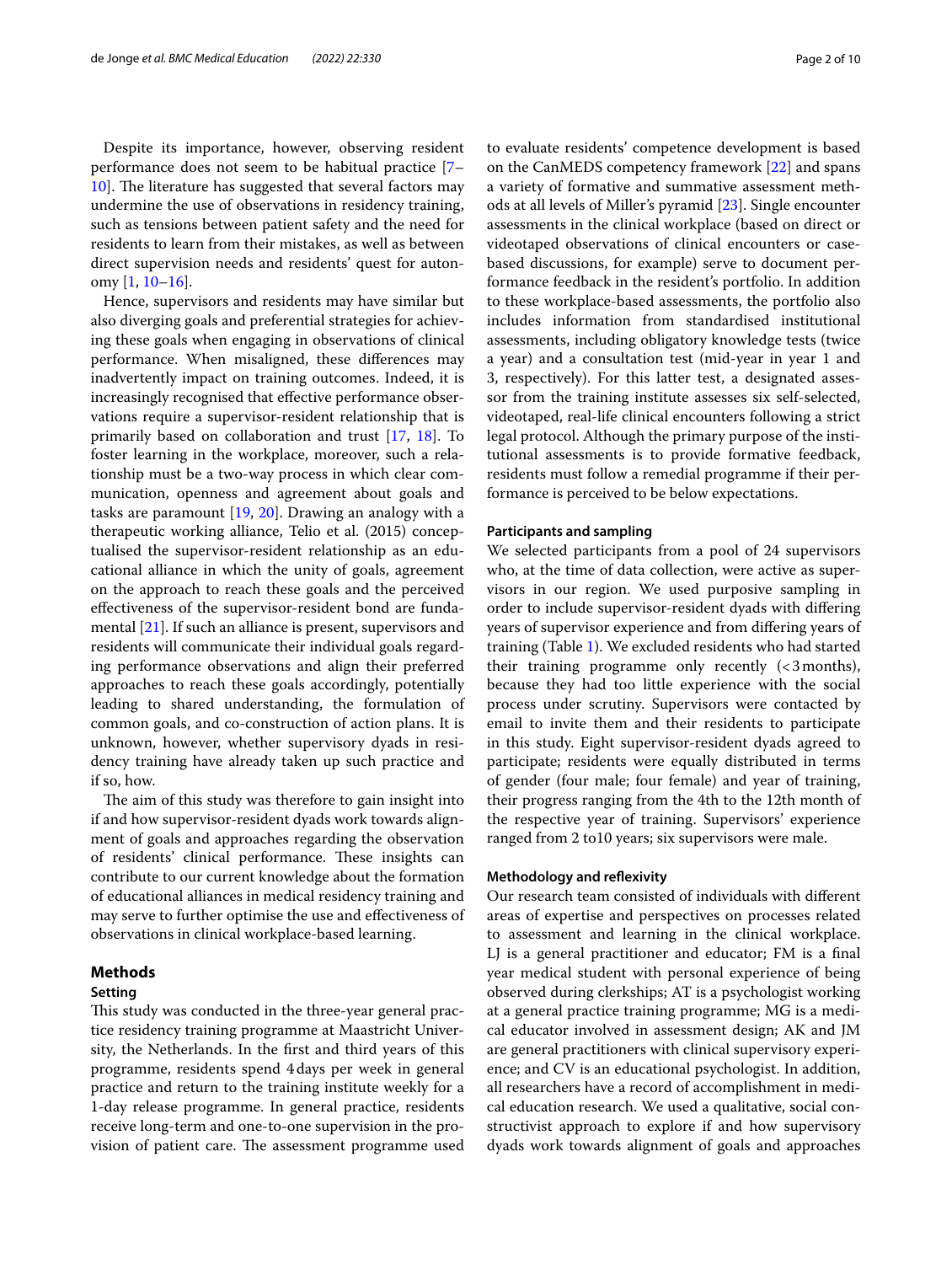Despite its importance, however, observing resident performance does not seem to be habitual practice [[7–](#page-8-3) [10\]](#page-8-4). The literature has suggested that several factors may undermine the use of observations in residency training, such as tensions between patient safety and the need for residents to learn from their mistakes, as well as between direct supervision needs and residents' quest for autonomy [[1,](#page-8-0) [10](#page-8-4)[–16](#page-8-5)].

Hence, supervisors and residents may have similar but also diverging goals and preferential strategies for achieving these goals when engaging in observations of clinical performance. When misaligned, these diferences may inadvertently impact on training outcomes. Indeed, it is increasingly recognised that efective performance observations require a supervisor-resident relationship that is primarily based on collaboration and trust [[17](#page-8-6), [18](#page-8-7)]. To foster learning in the workplace, moreover, such a relationship must be a two-way process in which clear communication, openness and agreement about goals and tasks are paramount [[19,](#page-8-8) [20\]](#page-8-9). Drawing an analogy with a therapeutic working alliance, Telio et al. (2015) conceptualised the supervisor-resident relationship as an educational alliance in which the unity of goals, agreement on the approach to reach these goals and the perceived efectiveness of the supervisor-resident bond are fundamental [\[21](#page-8-10)]. If such an alliance is present, supervisors and residents will communicate their individual goals regarding performance observations and align their preferred approaches to reach these goals accordingly, potentially leading to shared understanding, the formulation of common goals, and co-construction of action plans. It is unknown, however, whether supervisory dyads in residency training have already taken up such practice and if so, how.

The aim of this study was therefore to gain insight into if and how supervisor-resident dyads work towards alignment of goals and approaches regarding the observation of residents' clinical performance. These insights can contribute to our current knowledge about the formation of educational alliances in medical residency training and may serve to further optimise the use and efectiveness of observations in clinical workplace-based learning.

## **Methods**

## **Setting**

This study was conducted in the three-year general practice residency training programme at Maastricht University, the Netherlands. In the frst and third years of this programme, residents spend 4days per week in general practice and return to the training institute weekly for a 1-day release programme. In general practice, residents receive long-term and one-to-one supervision in the provision of patient care. The assessment programme used to evaluate residents' competence development is based on the CanMEDS competency framework [\[22](#page-8-11)] and spans a variety of formative and summative assessment methods at all levels of Miller's pyramid [\[23\]](#page-8-12). Single encounter assessments in the clinical workplace (based on direct or videotaped observations of clinical encounters or casebased discussions, for example) serve to document performance feedback in the resident's portfolio. In addition to these workplace-based assessments, the portfolio also includes information from standardised institutional assessments, including obligatory knowledge tests (twice a year) and a consultation test (mid-year in year 1 and 3, respectively). For this latter test, a designated assessor from the training institute assesses six self-selected, videotaped, real-life clinical encounters following a strict legal protocol. Although the primary purpose of the institutional assessments is to provide formative feedback, residents must follow a remedial programme if their performance is perceived to be below expectations.

## **Participants and sampling**

We selected participants from a pool of 24 supervisors who, at the time of data collection, were active as supervisors in our region. We used purposive sampling in order to include supervisor-resident dyads with difering years of supervisor experience and from difering years of training (Table [1\)](#page-2-0). We excluded residents who had started their training programme only recently  $( $3 \text{ months}$ ),$ because they had too little experience with the social process under scrutiny. Supervisors were contacted by email to invite them and their residents to participate in this study. Eight supervisor-resident dyads agreed to participate; residents were equally distributed in terms of gender (four male; four female) and year of training, their progress ranging from the 4th to the 12th month of the respective year of training. Supervisors' experience ranged from 2 to10 years; six supervisors were male.

## **Methodology and refexivity**

Our research team consisted of individuals with diferent areas of expertise and perspectives on processes related to assessment and learning in the clinical workplace. LJ is a general practitioner and educator; FM is a fnal year medical student with personal experience of being observed during clerkships; AT is a psychologist working at a general practice training programme; MG is a medical educator involved in assessment design; AK and JM are general practitioners with clinical supervisory experience; and CV is an educational psychologist. In addition, all researchers have a record of accomplishment in medical education research. We used a qualitative, social constructivist approach to explore if and how supervisory dyads work towards alignment of goals and approaches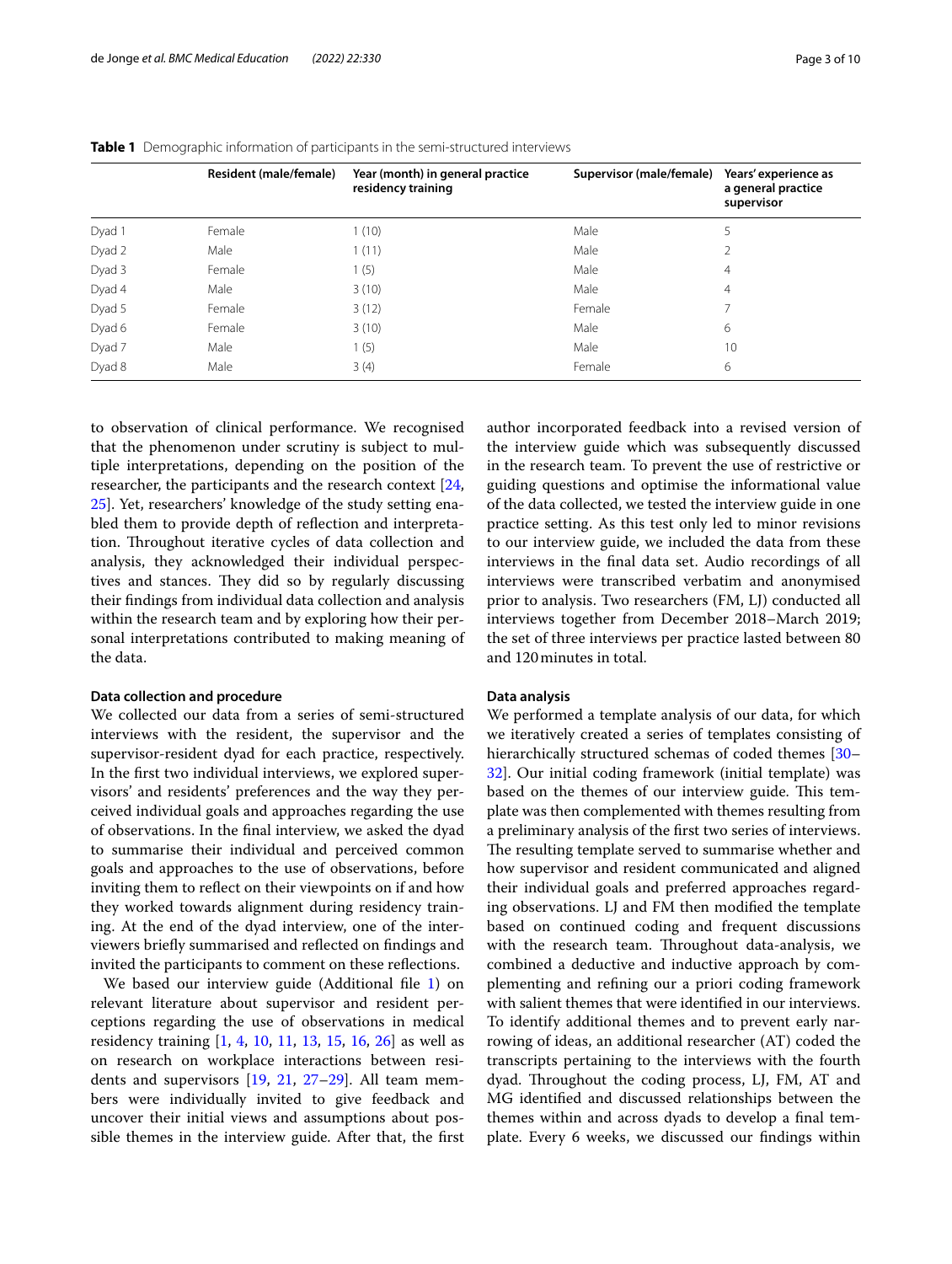|        | <b>Resident (male/female)</b> | Year (month) in general practice<br>residency training | Supervisor (male/female) | Years' experience as<br>a general practice<br>supervisor |
|--------|-------------------------------|--------------------------------------------------------|--------------------------|----------------------------------------------------------|
| Dyad 1 | Female                        | 1(10)                                                  | Male                     |                                                          |
| Dyad 2 | Male                          | 1(11)                                                  | Male                     | 2                                                        |
| Dyad 3 | Female                        | 1(5)                                                   | Male                     | $\overline{4}$                                           |
| Dyad 4 | Male                          | 3(10)                                                  | Male                     | $\overline{4}$                                           |
| Dyad 5 | Female                        | 3(12)                                                  | Female                   |                                                          |
| Dyad 6 | Female                        | 3(10)                                                  | Male                     | 6                                                        |
| Dyad 7 | Male                          | 1(5)                                                   | Male                     | 10                                                       |
| Dyad 8 | Male                          | 3(4)                                                   | Female                   | 6                                                        |
|        |                               |                                                        |                          |                                                          |

#### <span id="page-2-0"></span>**Table 1** Demographic information of participants in the semi-structured interviews

to observation of clinical performance. We recognised that the phenomenon under scrutiny is subject to multiple interpretations, depending on the position of the researcher, the participants and the research context [\[24](#page-8-13), [25\]](#page-8-14). Yet, researchers' knowledge of the study setting enabled them to provide depth of refection and interpretation. Throughout iterative cycles of data collection and analysis, they acknowledged their individual perspectives and stances. They did so by regularly discussing their fndings from individual data collection and analysis within the research team and by exploring how their personal interpretations contributed to making meaning of the data.

## **Data collection and procedure**

We collected our data from a series of semi-structured interviews with the resident, the supervisor and the supervisor-resident dyad for each practice, respectively. In the frst two individual interviews, we explored supervisors' and residents' preferences and the way they perceived individual goals and approaches regarding the use of observations. In the fnal interview, we asked the dyad to summarise their individual and perceived common goals and approaches to the use of observations, before inviting them to refect on their viewpoints on if and how they worked towards alignment during residency training. At the end of the dyad interview, one of the interviewers briefy summarised and refected on fndings and invited the participants to comment on these refections.

We based our interview guide (Additional file [1](#page-7-0)) on relevant literature about supervisor and resident perceptions regarding the use of observations in medical residency training [[1,](#page-8-0) [4,](#page-8-15) [10](#page-8-4), [11](#page-8-16), [13,](#page-8-17) [15](#page-8-18), [16](#page-8-5), [26\]](#page-8-19) as well as on research on workplace interactions between residents and supervisors [\[19,](#page-8-8) [21](#page-8-10), [27–](#page-8-20)[29](#page-8-21)]. All team members were individually invited to give feedback and uncover their initial views and assumptions about possible themes in the interview guide. After that, the frst author incorporated feedback into a revised version of the interview guide which was subsequently discussed in the research team. To prevent the use of restrictive or guiding questions and optimise the informational value of the data collected, we tested the interview guide in one practice setting. As this test only led to minor revisions to our interview guide, we included the data from these interviews in the fnal data set. Audio recordings of all interviews were transcribed verbatim and anonymised prior to analysis. Two researchers (FM, LJ) conducted all interviews together from December 2018–March 2019; the set of three interviews per practice lasted between 80 and 120minutes in total.

## **Data analysis**

We performed a template analysis of our data, for which we iteratively created a series of templates consisting of hierarchically structured schemas of coded themes [[30–](#page-8-22) [32\]](#page-8-23). Our initial coding framework (initial template) was based on the themes of our interview guide. This template was then complemented with themes resulting from a preliminary analysis of the frst two series of interviews. The resulting template served to summarise whether and how supervisor and resident communicated and aligned their individual goals and preferred approaches regarding observations. LJ and FM then modifed the template based on continued coding and frequent discussions with the research team. Throughout data-analysis, we combined a deductive and inductive approach by complementing and refning our a priori coding framework with salient themes that were identifed in our interviews. To identify additional themes and to prevent early narrowing of ideas, an additional researcher (AT) coded the transcripts pertaining to the interviews with the fourth dyad. Throughout the coding process, LJ, FM, AT and MG identifed and discussed relationships between the themes within and across dyads to develop a fnal template. Every 6 weeks, we discussed our fndings within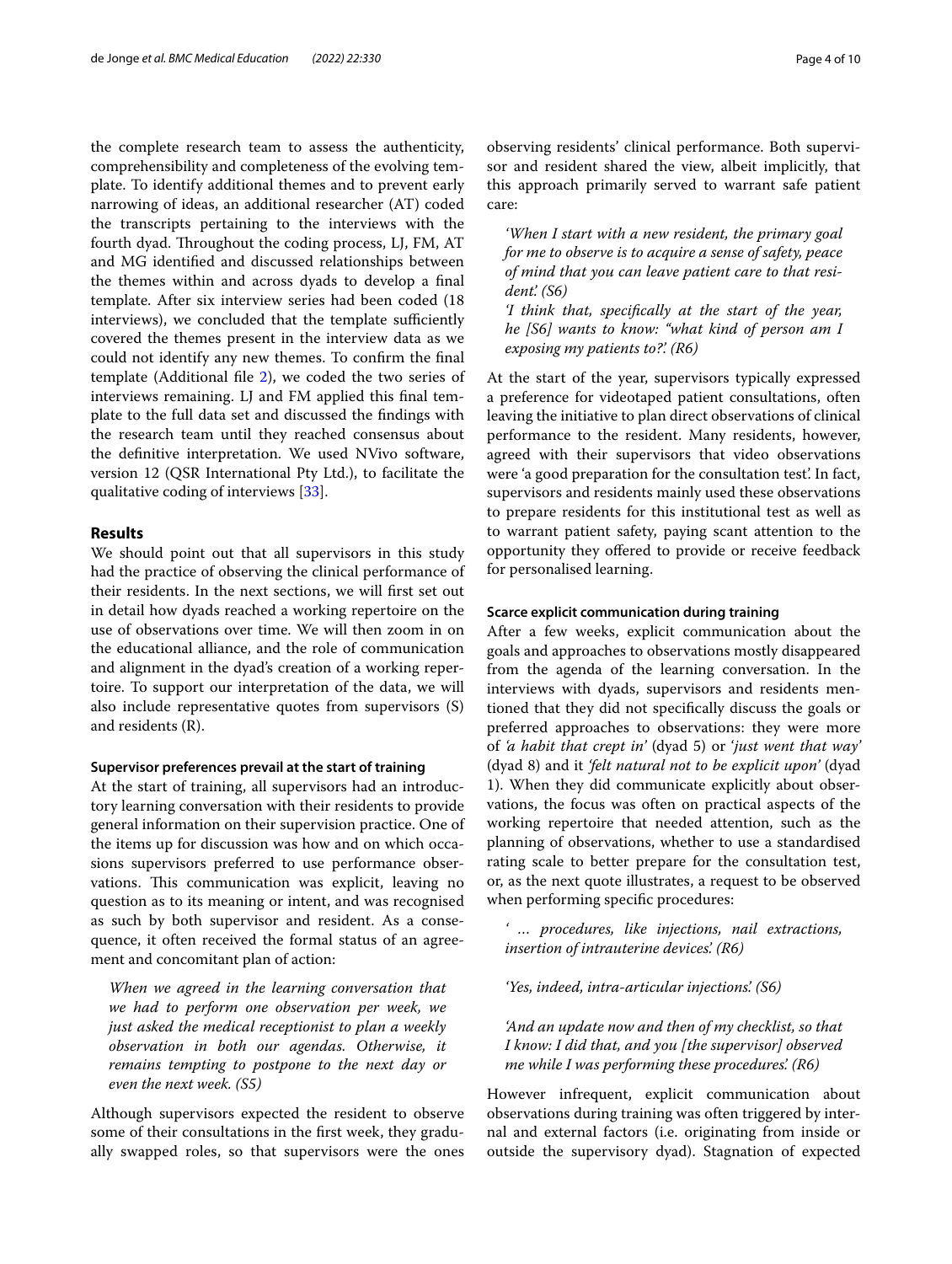the complete research team to assess the authenticity, comprehensibility and completeness of the evolving template. To identify additional themes and to prevent early narrowing of ideas, an additional researcher (AT) coded the transcripts pertaining to the interviews with the fourth dyad. Throughout the coding process, LJ, FM, AT and MG identifed and discussed relationships between the themes within and across dyads to develop a fnal template. After six interview series had been coded (18 interviews), we concluded that the template sufficiently covered the themes present in the interview data as we could not identify any new themes. To confrm the fnal template (Additional fle [2](#page-7-1)), we coded the two series of interviews remaining. LJ and FM applied this fnal template to the full data set and discussed the fndings with the research team until they reached consensus about the defnitive interpretation. We used NVivo software, version 12 (QSR International Pty Ltd.), to facilitate the qualitative coding of interviews [\[33\]](#page-8-24).

## **Results**

We should point out that all supervisors in this study had the practice of observing the clinical performance of their residents. In the next sections, we will frst set out in detail how dyads reached a working repertoire on the use of observations over time. We will then zoom in on the educational alliance, and the role of communication and alignment in the dyad's creation of a working repertoire. To support our interpretation of the data, we will also include representative quotes from supervisors (S) and residents (R).

## **Supervisor preferences prevail at the start of training**

At the start of training, all supervisors had an introductory learning conversation with their residents to provide general information on their supervision practice. One of the items up for discussion was how and on which occasions supervisors preferred to use performance observations. This communication was explicit, leaving no question as to its meaning or intent, and was recognised as such by both supervisor and resident. As a consequence, it often received the formal status of an agreement and concomitant plan of action:

*When we agreed in the learning conversation that we had to perform one observation per week, we just asked the medical receptionist to plan a weekly observation in both our agendas. Otherwise, it remains tempting to postpone to the next day or even the next week. (S5)*

Although supervisors expected the resident to observe some of their consultations in the frst week, they gradually swapped roles, so that supervisors were the ones observing residents' clinical performance. Both supervisor and resident shared the view, albeit implicitly, that this approach primarily served to warrant safe patient care:

*'When I start with a new resident, the primary goal for me to observe is to acquire a sense of safety, peace of mind that you can leave patient care to that resident'. (S6)*

*'I think that, specifcally at the start of the year, he [S6] wants to know: "what kind of person am I exposing my patients to?'. (R6)*

At the start of the year, supervisors typically expressed a preference for videotaped patient consultations, often leaving the initiative to plan direct observations of clinical performance to the resident. Many residents, however, agreed with their supervisors that video observations were 'a good preparation for the consultation test'. In fact, supervisors and residents mainly used these observations to prepare residents for this institutional test as well as to warrant patient safety, paying scant attention to the opportunity they ofered to provide or receive feedback for personalised learning.

#### **Scarce explicit communication during training**

After a few weeks, explicit communication about the goals and approaches to observations mostly disappeared from the agenda of the learning conversation. In the interviews with dyads, supervisors and residents mentioned that they did not specifcally discuss the goals or preferred approaches to observations: they were more of *'a habit that crept in'* (dyad 5) or '*just went that way'* (dyad 8) and it *'felt natural not to be explicit upon'* (dyad 1). When they did communicate explicitly about observations, the focus was often on practical aspects of the working repertoire that needed attention, such as the planning of observations, whether to use a standardised rating scale to better prepare for the consultation test, or, as the next quote illustrates, a request to be observed when performing specifc procedures:

*' … procedures, like injections, nail extractions, insertion of intrauterine devices'. (R6)*

*'Yes, indeed, intra-articular injections'. (S6)*

*'And an update now and then of my checklist, so that I know: I did that, and you [the supervisor] observed me while I was performing these procedures'. (R6)*

However infrequent, explicit communication about observations during training was often triggered by internal and external factors (i.e. originating from inside or outside the supervisory dyad). Stagnation of expected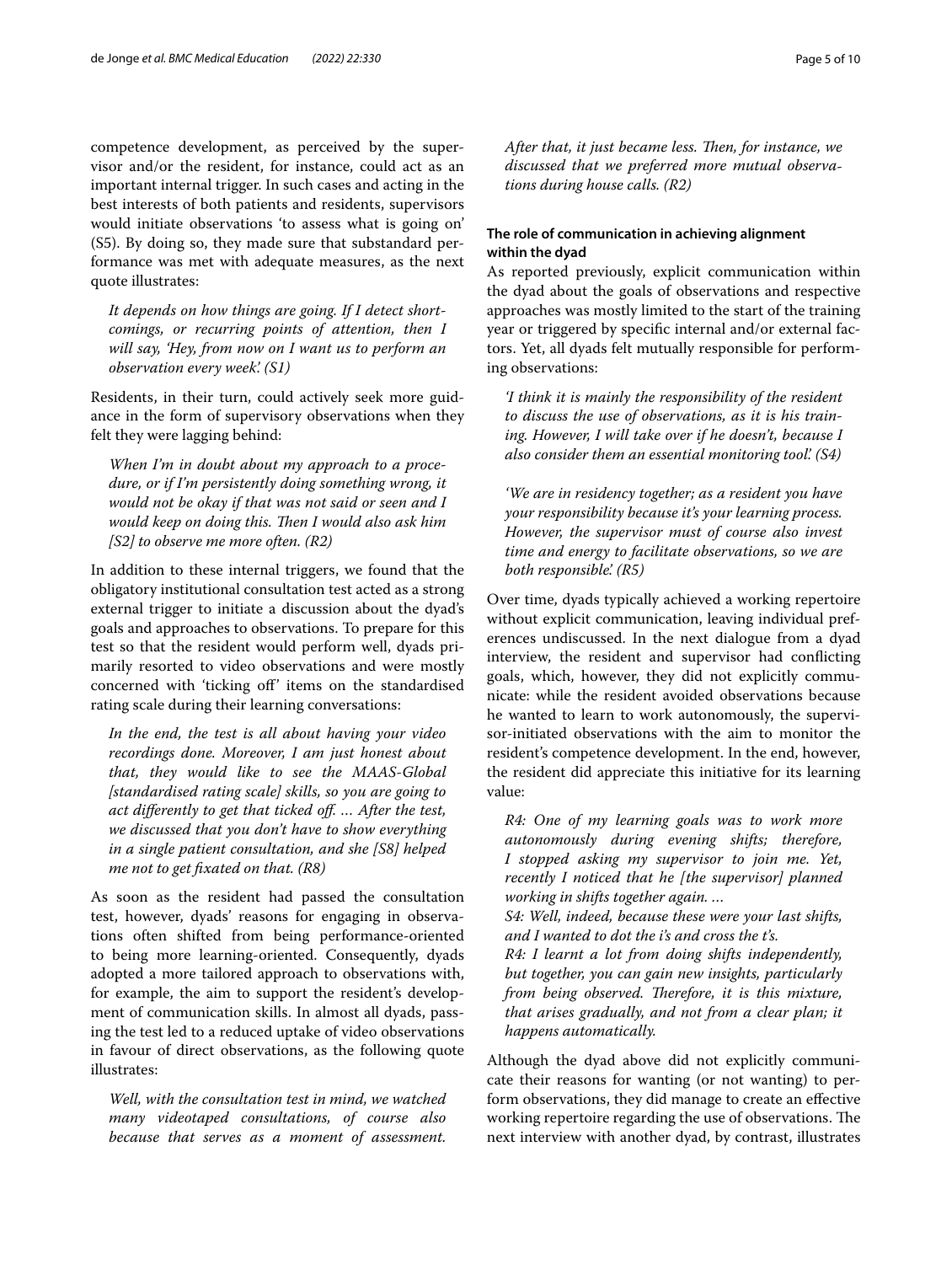competence development, as perceived by the supervisor and/or the resident, for instance, could act as an important internal trigger. In such cases and acting in the best interests of both patients and residents, supervisors would initiate observations 'to assess what is going on' (S5). By doing so, they made sure that substandard performance was met with adequate measures, as the next quote illustrates:

*It depends on how things are going. If I detect shortcomings, or recurring points of attention, then I will say, 'Hey, from now on I want us to perform an observation every week'. (S1)*

Residents, in their turn, could actively seek more guidance in the form of supervisory observations when they felt they were lagging behind:

*When I'm in doubt about my approach to a procedure, or if I'm persistently doing something wrong, it would not be okay if that was not said or seen and I would keep on doing this. Then I would also ask him [S2] to observe me more often. (R2)*

In addition to these internal triggers, we found that the obligatory institutional consultation test acted as a strong external trigger to initiate a discussion about the dyad's goals and approaches to observations. To prepare for this test so that the resident would perform well, dyads primarily resorted to video observations and were mostly concerned with 'ticking of' items on the standardised rating scale during their learning conversations:

*In the end, the test is all about having your video recordings done. Moreover, I am just honest about that, they would like to see the MAAS-Global [standardised rating scale] skills, so you are going to act diferently to get that ticked of. … After the test, we discussed that you don't have to show everything in a single patient consultation, and she [S8] helped me not to get fxated on that. (R8)*

As soon as the resident had passed the consultation test, however, dyads' reasons for engaging in observations often shifted from being performance-oriented to being more learning-oriented. Consequently, dyads adopted a more tailored approach to observations with, for example, the aim to support the resident's development of communication skills. In almost all dyads, passing the test led to a reduced uptake of video observations in favour of direct observations, as the following quote illustrates:

*Well, with the consultation test in mind, we watched many videotaped consultations, of course also because that serves as a moment of assessment.*  After that, it just became less. Then, for instance, we *discussed that we preferred more mutual observations during house calls. (R2)*

## **The role of communication in achieving alignment within the dyad**

As reported previously, explicit communication within the dyad about the goals of observations and respective approaches was mostly limited to the start of the training year or triggered by specifc internal and/or external factors. Yet, all dyads felt mutually responsible for performing observations:

*'I think it is mainly the responsibility of the resident to discuss the use of observations, as it is his training. However, I will take over if he doesn't, because I also consider them an essential monitoring tool'. (S4)*

*'We are in residency together; as a resident you have your responsibility because it's your learning process. However, the supervisor must of course also invest time and energy to facilitate observations, so we are both responsible'. (R5)*

Over time, dyads typically achieved a working repertoire without explicit communication, leaving individual preferences undiscussed. In the next dialogue from a dyad interview, the resident and supervisor had conficting goals, which, however, they did not explicitly communicate: while the resident avoided observations because he wanted to learn to work autonomously, the supervisor-initiated observations with the aim to monitor the resident's competence development. In the end, however, the resident did appreciate this initiative for its learning value:

*R4: One of my learning goals was to work more autonomously during evening shifts; therefore, I stopped asking my supervisor to join me. Yet, recently I noticed that he [the supervisor] planned working in shifts together again. …*

*S4: Well, indeed, because these were your last shifts, and I wanted to dot the i's and cross the t's.*

*R4: I learnt a lot from doing shifts independently, but together, you can gain new insights, particularly from being observed. Therefore, it is this mixture, that arises gradually, and not from a clear plan; it happens automatically.*

Although the dyad above did not explicitly communicate their reasons for wanting (or not wanting) to perform observations, they did manage to create an efective working repertoire regarding the use of observations. The next interview with another dyad, by contrast, illustrates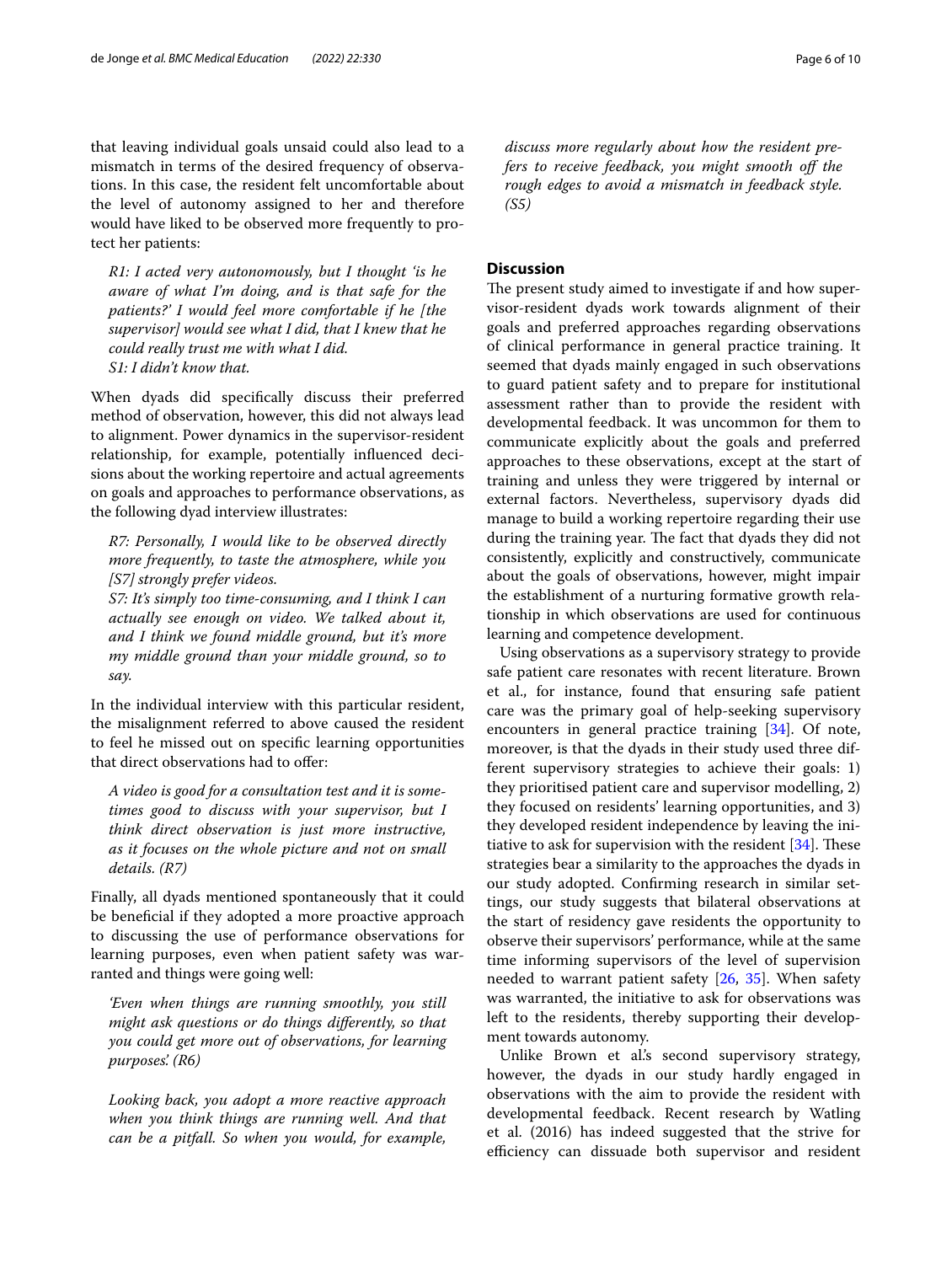that leaving individual goals unsaid could also lead to a mismatch in terms of the desired frequency of observations. In this case, the resident felt uncomfortable about the level of autonomy assigned to her and therefore would have liked to be observed more frequently to protect her patients:

*R1: I acted very autonomously, but I thought 'is he aware of what I'm doing, and is that safe for the patients?' I would feel more comfortable if he [the supervisor] would see what I did, that I knew that he could really trust me with what I did. S1: I didn't know that.*

When dyads did specifcally discuss their preferred method of observation, however, this did not always lead to alignment. Power dynamics in the supervisor-resident relationship, for example, potentially infuenced decisions about the working repertoire and actual agreements on goals and approaches to performance observations, as the following dyad interview illustrates:

*R7: Personally, I would like to be observed directly more frequently, to taste the atmosphere, while you [S7] strongly prefer videos.*

*S7: It's simply too time-consuming, and I think I can actually see enough on video. We talked about it, and I think we found middle ground, but it's more my middle ground than your middle ground, so to say.*

In the individual interview with this particular resident, the misalignment referred to above caused the resident to feel he missed out on specifc learning opportunities that direct observations had to ofer:

*A video is good for a consultation test and it is sometimes good to discuss with your supervisor, but I think direct observation is just more instructive, as it focuses on the whole picture and not on small details. (R7)*

Finally, all dyads mentioned spontaneously that it could be benefcial if they adopted a more proactive approach to discussing the use of performance observations for learning purposes, even when patient safety was warranted and things were going well:

*'Even when things are running smoothly, you still might ask questions or do things diferently, so that you could get more out of observations, for learning purposes'. (R6)*

*Looking back, you adopt a more reactive approach when you think things are running well. And that can be a pitfall. So when you would, for example,* 

*discuss more regularly about how the resident prefers to receive feedback, you might smooth of the rough edges to avoid a mismatch in feedback style. (S5)*

## **Discussion**

The present study aimed to investigate if and how supervisor-resident dyads work towards alignment of their goals and preferred approaches regarding observations of clinical performance in general practice training. It seemed that dyads mainly engaged in such observations to guard patient safety and to prepare for institutional assessment rather than to provide the resident with developmental feedback. It was uncommon for them to communicate explicitly about the goals and preferred approaches to these observations, except at the start of training and unless they were triggered by internal or external factors. Nevertheless, supervisory dyads did manage to build a working repertoire regarding their use during the training year. The fact that dyads they did not consistently, explicitly and constructively, communicate about the goals of observations, however, might impair the establishment of a nurturing formative growth relationship in which observations are used for continuous learning and competence development.

Using observations as a supervisory strategy to provide safe patient care resonates with recent literature. Brown et al., for instance, found that ensuring safe patient care was the primary goal of help-seeking supervisory encounters in general practice training [[34\]](#page-8-25). Of note, moreover, is that the dyads in their study used three different supervisory strategies to achieve their goals: 1) they prioritised patient care and supervisor modelling, 2) they focused on residents' learning opportunities, and 3) they developed resident independence by leaving the initiative to ask for supervision with the resident  $[34]$ . These strategies bear a similarity to the approaches the dyads in our study adopted. Confrming research in similar settings, our study suggests that bilateral observations at the start of residency gave residents the opportunity to observe their supervisors' performance, while at the same time informing supervisors of the level of supervision needed to warrant patient safety [\[26](#page-8-19), [35](#page-8-26)]. When safety was warranted, the initiative to ask for observations was left to the residents, thereby supporting their development towards autonomy.

Unlike Brown et al's second supervisory strategy, however, the dyads in our study hardly engaged in observations with the aim to provide the resident with developmental feedback. Recent research by Watling et al. (2016) has indeed suggested that the strive for efficiency can dissuade both supervisor and resident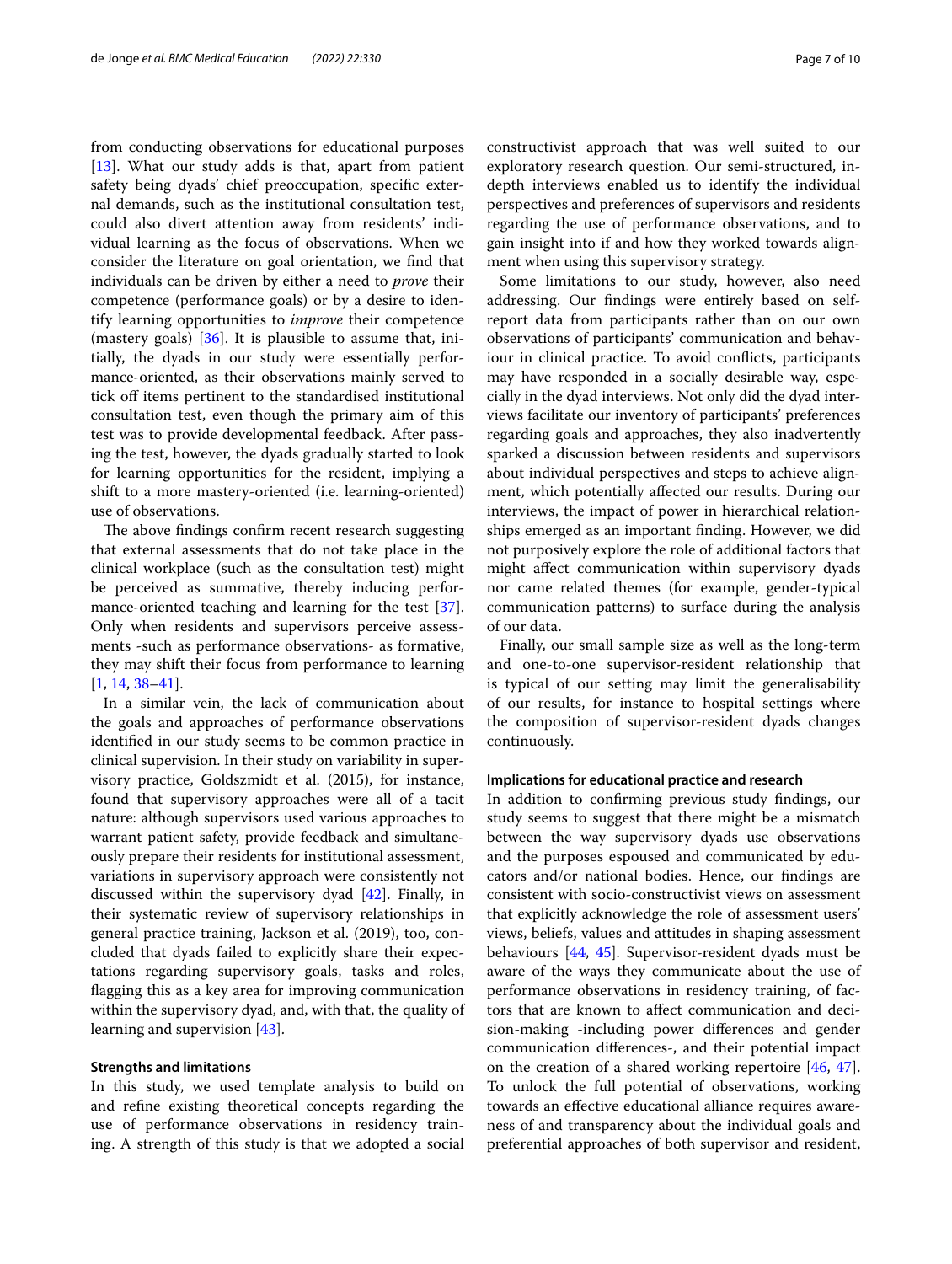from conducting observations for educational purposes [[13\]](#page-8-17). What our study adds is that, apart from patient safety being dyads' chief preoccupation, specifc external demands, such as the institutional consultation test, could also divert attention away from residents' individual learning as the focus of observations. When we consider the literature on goal orientation, we fnd that individuals can be driven by either a need to *prove* their competence (performance goals) or by a desire to identify learning opportunities to *improve* their competence (mastery goals) [[36](#page-8-27)]. It is plausible to assume that, initially, the dyads in our study were essentially performance-oriented, as their observations mainly served to tick off items pertinent to the standardised institutional consultation test, even though the primary aim of this test was to provide developmental feedback. After passing the test, however, the dyads gradually started to look for learning opportunities for the resident, implying a shift to a more mastery-oriented (i.e. learning-oriented) use of observations.

The above findings confirm recent research suggesting that external assessments that do not take place in the clinical workplace (such as the consultation test) might be perceived as summative, thereby inducing performance-oriented teaching and learning for the test [\[37](#page-8-28)]. Only when residents and supervisors perceive assessments -such as performance observations- as formative, they may shift their focus from performance to learning [[1,](#page-8-0) [14](#page-8-29), [38](#page-8-30)[–41](#page-8-31)].

In a similar vein, the lack of communication about the goals and approaches of performance observations identifed in our study seems to be common practice in clinical supervision. In their study on variability in supervisory practice, Goldszmidt et al. (2015), for instance, found that supervisory approaches were all of a tacit nature: although supervisors used various approaches to warrant patient safety, provide feedback and simultaneously prepare their residents for institutional assessment, variations in supervisory approach were consistently not discussed within the supervisory dyad [\[42\]](#page-8-32). Finally, in their systematic review of supervisory relationships in general practice training, Jackson et al. (2019), too, concluded that dyads failed to explicitly share their expectations regarding supervisory goals, tasks and roles, fagging this as a key area for improving communication within the supervisory dyad, and, with that, the quality of learning and supervision [\[43\]](#page-8-33).

#### **Strengths and limitations**

In this study, we used template analysis to build on and refne existing theoretical concepts regarding the use of performance observations in residency training. A strength of this study is that we adopted a social constructivist approach that was well suited to our exploratory research question. Our semi-structured, indepth interviews enabled us to identify the individual perspectives and preferences of supervisors and residents regarding the use of performance observations, and to gain insight into if and how they worked towards alignment when using this supervisory strategy.

Some limitations to our study, however, also need addressing. Our fndings were entirely based on selfreport data from participants rather than on our own observations of participants' communication and behaviour in clinical practice. To avoid conficts, participants may have responded in a socially desirable way, especially in the dyad interviews. Not only did the dyad interviews facilitate our inventory of participants' preferences regarding goals and approaches, they also inadvertently sparked a discussion between residents and supervisors about individual perspectives and steps to achieve alignment, which potentially afected our results. During our interviews, the impact of power in hierarchical relationships emerged as an important fnding. However, we did not purposively explore the role of additional factors that might afect communication within supervisory dyads nor came related themes (for example, gender-typical communication patterns) to surface during the analysis of our data.

Finally, our small sample size as well as the long-term and one-to-one supervisor-resident relationship that is typical of our setting may limit the generalisability of our results, for instance to hospital settings where the composition of supervisor-resident dyads changes continuously.

## **Implications for educational practice and research**

In addition to confrming previous study fndings, our study seems to suggest that there might be a mismatch between the way supervisory dyads use observations and the purposes espoused and communicated by educators and/or national bodies. Hence, our fndings are consistent with socio-constructivist views on assessment that explicitly acknowledge the role of assessment users' views, beliefs, values and attitudes in shaping assessment behaviours [[44](#page-8-34), [45\]](#page-8-35). Supervisor-resident dyads must be aware of the ways they communicate about the use of performance observations in residency training, of factors that are known to afect communication and decision-making -including power diferences and gender communication diferences-, and their potential impact on the creation of a shared working repertoire [[46,](#page-8-36) [47](#page-8-37)]. To unlock the full potential of observations, working towards an efective educational alliance requires awareness of and transparency about the individual goals and preferential approaches of both supervisor and resident,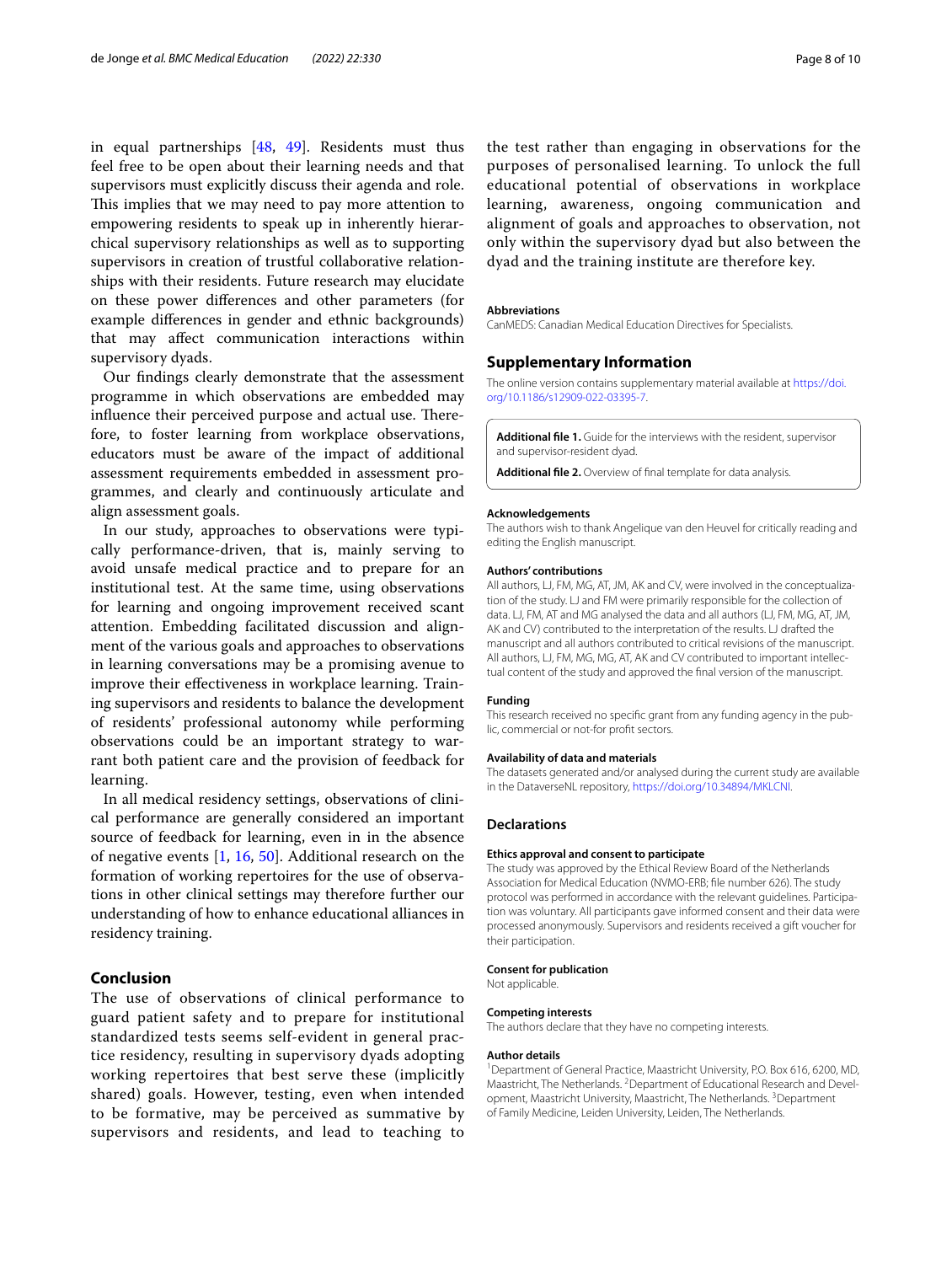in equal partnerships [[48](#page-8-38), [49\]](#page-8-39). Residents must thus feel free to be open about their learning needs and that supervisors must explicitly discuss their agenda and role. This implies that we may need to pay more attention to empowering residents to speak up in inherently hierarchical supervisory relationships as well as to supporting supervisors in creation of trustful collaborative relationships with their residents. Future research may elucidate on these power diferences and other parameters (for example diferences in gender and ethnic backgrounds) that may afect communication interactions within supervisory dyads.

Our fndings clearly demonstrate that the assessment programme in which observations are embedded may influence their perceived purpose and actual use. Therefore, to foster learning from workplace observations, educators must be aware of the impact of additional assessment requirements embedded in assessment programmes, and clearly and continuously articulate and align assessment goals.

In our study, approaches to observations were typically performance-driven, that is, mainly serving to avoid unsafe medical practice and to prepare for an institutional test. At the same time, using observations for learning and ongoing improvement received scant attention. Embedding facilitated discussion and alignment of the various goals and approaches to observations in learning conversations may be a promising avenue to improve their efectiveness in workplace learning. Training supervisors and residents to balance the development of residents' professional autonomy while performing observations could be an important strategy to warrant both patient care and the provision of feedback for learning.

In all medical residency settings, observations of clinical performance are generally considered an important source of feedback for learning, even in in the absence of negative events [[1,](#page-8-0) [16,](#page-8-5) [50\]](#page-8-40). Additional research on the formation of working repertoires for the use of observations in other clinical settings may therefore further our understanding of how to enhance educational alliances in residency training.

## **Conclusion**

The use of observations of clinical performance to guard patient safety and to prepare for institutional standardized tests seems self-evident in general practice residency, resulting in supervisory dyads adopting working repertoires that best serve these (implicitly shared) goals. However, testing, even when intended to be formative, may be perceived as summative by supervisors and residents, and lead to teaching to

the test rather than engaging in observations for the purposes of personalised learning. To unlock the full educational potential of observations in workplace learning, awareness, ongoing communication and alignment of goals and approaches to observation, not only within the supervisory dyad but also between the dyad and the training institute are therefore key.

#### **Abbreviations**

CanMEDS: Canadian Medical Education Directives for Specialists.

#### **Supplementary Information**

The online version contains supplementary material available at [https://doi.](https://doi.org/10.1186/s12909-022-03395-7) [org/10.1186/s12909-022-03395-7](https://doi.org/10.1186/s12909-022-03395-7).

<span id="page-7-1"></span><span id="page-7-0"></span>**Additional fle 1.** Guide for the interviews with the resident, supervisor and supervisor-resident dyad.

**Additional fle 2.** Overview of fnal template for data analysis.

#### **Acknowledgements**

The authors wish to thank Angelique van den Heuvel for critically reading and editing the English manuscript.

#### **Authors' contributions**

All authors, LJ, FM, MG, AT, JM, AK and CV, were involved in the conceptualization of the study. LJ and FM were primarily responsible for the collection of data. LJ, FM, AT and MG analysed the data and all authors (LJ, FM, MG, AT, JM, AK and CV) contributed to the interpretation of the results. LJ drafted the manuscript and all authors contributed to critical revisions of the manuscript. All authors, LJ, FM, MG, MG, AT, AK and CV contributed to important intellectual content of the study and approved the fnal version of the manuscript.

#### **Funding**

This research received no specifc grant from any funding agency in the public, commercial or not-for proft sectors.

#### **Availability of data and materials**

The datasets generated and/or analysed during the current study are available in the DataverseNL repository, [https://doi.org/10.34894/MKLCNI.](https://doi.org/10.34894/MKLCNI)

#### **Declarations**

#### **Ethics approval and consent to participate**

The study was approved by the Ethical Review Board of the Netherlands Association for Medical Education (NVMO-ERB; fle number 626). The study protocol was performed in accordance with the relevant guidelines. Participation was voluntary. All participants gave informed consent and their data were processed anonymously. Supervisors and residents received a gift voucher for their participation.

#### **Consent for publication**

Not applicable.

#### **Competing interests**

The authors declare that they have no competing interests.

#### **Author details**

<sup>1</sup> Department of General Practice, Maastricht University, P.O. Box 616, 6200, MD, Maastricht, The Netherlands. <sup>2</sup> Department of Educational Research and Development, Maastricht University, Maastricht, The Netherlands.<sup>3</sup> Department of Family Medicine, Leiden University, Leiden, The Netherlands.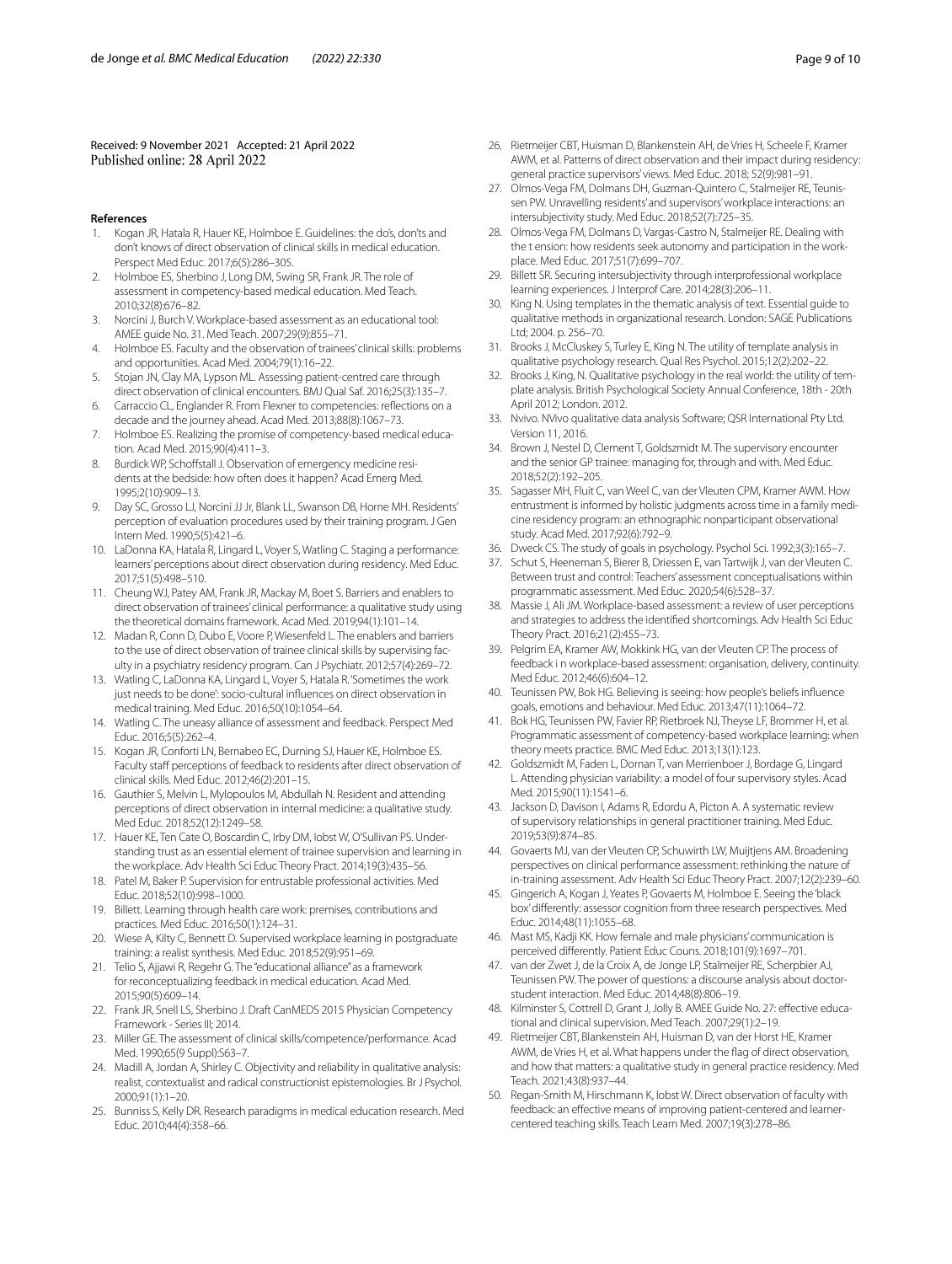Received: 9 November 2021 Accepted: 21 April 2022 Published online: 28 April 2022

#### **References**

- <span id="page-8-0"></span>1. Kogan JR, Hatala R, Hauer KE, Holmboe E. Guidelines: the do's, don'ts and don't knows of direct observation of clinical skills in medical education. Perspect Med Educ. 2017;6(5):286–305.
- 2. Holmboe ES, Sherbino J, Long DM, Swing SR, Frank JR. The role of assessment in competency-based medical education. Med Teach. 2010;32(8):676–82.
- 3. Norcini J, Burch V. Workplace-based assessment as an educational tool: AMEE guide No. 31. Med Teach. 2007;29(9):855–71.
- <span id="page-8-15"></span>4. Holmboe ES. Faculty and the observation of trainees' clinical skills: problems and opportunities. Acad Med. 2004;79(1):16–22.
- <span id="page-8-1"></span>5. Stojan JN, Clay MA, Lypson ML. Assessing patient-centred care through direct observation of clinical encounters. BMJ Qual Saf. 2016;25(3):135–7.
- <span id="page-8-2"></span>6. Carraccio CL, Englander R. From Flexner to competencies: refections on a decade and the journey ahead. Acad Med. 2013;88(8):1067–73.
- <span id="page-8-3"></span>7. Holmboe ES. Realizing the promise of competency-based medical education. Acad Med. 2015;90(4):411–3.
- 8. Burdick WP, Schoffstall J. Observation of emergency medicine residents at the bedside: how often does it happen? Acad Emerg Med. 1995;2(10):909–13.
- 9. Day SC, Grosso LJ, Norcini JJ Jr, Blank LL, Swanson DB, Horne MH. Residents' perception of evaluation procedures used by their training program. J Gen Intern Med. 1990;5(5):421–6.
- <span id="page-8-4"></span>10. LaDonna KA, Hatala R, Lingard L, Voyer S, Watling C. Staging a performance: learners' perceptions about direct observation during residency. Med Educ. 2017;51(5):498–510.
- <span id="page-8-16"></span>11. Cheung WJ, Patey AM, Frank JR, Mackay M, Boet S. Barriers and enablers to direct observation of trainees' clinical performance: a qualitative study using the theoretical domains framework. Acad Med. 2019;94(1):101–14.
- 12. Madan R, Conn D, Dubo E, Voore P, Wiesenfeld L. The enablers and barriers to the use of direct observation of trainee clinical skills by supervising faculty in a psychiatry residency program. Can J Psychiatr. 2012;57(4):269–72.
- <span id="page-8-17"></span>13. Watling C, LaDonna KA, Lingard L, Voyer S, Hatala R. 'Sometimes the work just needs to be done': socio-cultural infuences on direct observation in medical training. Med Educ. 2016;50(10):1054–64.
- <span id="page-8-29"></span>14. Watling C. The uneasy alliance of assessment and feedback. Perspect Med Educ. 2016;5(5):262–4.
- <span id="page-8-18"></span>15. Kogan JR, Conforti LN, Bernabeo EC, Durning SJ, Hauer KE, Holmboe ES. Faculty staff perceptions of feedback to residents after direct observation of clinical skills. Med Educ. 2012;46(2):201–15.
- <span id="page-8-5"></span>16. Gauthier S, Melvin L, Mylopoulos M, Abdullah N. Resident and attending perceptions of direct observation in internal medicine: a qualitative study. Med Educ. 2018;52(12):1249–58.
- <span id="page-8-6"></span>17. Hauer KE, Ten Cate O, Boscardin C, Irby DM, Iobst W, O'Sullivan PS. Understanding trust as an essential element of trainee supervision and learning in the workplace. Adv Health Sci Educ Theory Pract. 2014;19(3):435–56.
- <span id="page-8-7"></span>18. Patel M, Baker P. Supervision for entrustable professional activities. Med Educ. 2018;52(10):998–1000.
- <span id="page-8-8"></span>19. Billett. Learning through health care work: premises, contributions and practices. Med Educ. 2016;50(1):124–31.
- <span id="page-8-9"></span>20. Wiese A, Kilty C, Bennett D. Supervised workplace learning in postgraduate training: a realist synthesis. Med Educ. 2018;52(9):951–69.
- <span id="page-8-10"></span>21. Telio S, Ajjawi R, Regehr G. The "educational alliance" as a framework for reconceptualizing feedback in medical education. Acad Med. 2015;90(5):609–14.
- <span id="page-8-11"></span>22. Frank JR, Snell LS, Sherbino J. Draft CanMEDS 2015 Physician Competency Framework - Series III; 2014.
- <span id="page-8-12"></span>23. Miller GE. The assessment of clinical skills/competence/performance. Acad Med. 1990;65(9 Suppl):S63–7.
- <span id="page-8-13"></span>24. Madill A, Jordan A, Shirley C. Objectivity and reliability in qualitative analysis: realist, contextualist and radical constructionist epistemologies. Br J Psychol. 2000;91(1):1–20.
- <span id="page-8-14"></span>25. Bunniss S, Kelly DR. Research paradigms in medical education research. Med Educ. 2010;44(4):358–66.
- <span id="page-8-19"></span>26. Rietmeijer CBT, Huisman D, Blankenstein AH, de Vries H, Scheele F, Kramer AWM, et al. Patterns of direct observation and their impact during residency: general practice supervisors' views. Med Educ. 2018; 52(9):981–91.
- <span id="page-8-20"></span>27. Olmos-Vega FM, Dolmans DH, Guzman-Quintero C, Stalmeijer RE, Teunissen PW. Unravelling residents' and supervisors' workplace interactions: an intersubjectivity study. Med Educ. 2018;52(7):725–35.
- 28. Olmos-Vega FM, Dolmans D, Vargas-Castro N, Stalmeijer RE. Dealing with the t ension: how residents seek autonomy and participation in the workplace. Med Educ. 2017;51(7):699–707.
- <span id="page-8-21"></span>29. Billett SR. Securing intersubjectivity through interprofessional workplace learning experiences. J Interprof Care. 2014;28(3):206–11.
- <span id="page-8-22"></span>30. King N. Using templates in the thematic analysis of text. Essential guide to qualitative methods in organizational research. London: SAGE Publications Ltd; 2004. p. 256–70.
- 31. Brooks J, McCluskey S, Turley E, King N. The utility of template analysis in qualitative psychology research. Qual Res Psychol. 2015;12(2):202–22.
- <span id="page-8-23"></span>32. Brooks J, King, N. Qualitative psychology in the real world: the utility of template analysis. British Psychological Society Annual Conference, 18th - 20th April 2012; London. 2012.
- <span id="page-8-24"></span>33. Nvivo. NVivo qualitative data analysis Software; QSR International Pty Ltd. Version 11, 2016.
- <span id="page-8-25"></span>34. Brown J, Nestel D, Clement T, Goldszmidt M. The supervisory encounter and the senior GP trainee: managing for, through and with. Med Educ. 2018;52(2):192–205.
- <span id="page-8-26"></span>35. Sagasser MH, Fluit C, van Weel C, van der Vleuten CPM, Kramer AWM. How entrustment is informed by holistic judgments across time in a family medicine residency program: an ethnographic nonparticipant observational study. Acad Med. 2017;92(6):792–9.
- <span id="page-8-27"></span>36. Dweck CS. The study of goals in psychology. Psychol Sci. 1992;3(3):165–7.
- <span id="page-8-28"></span>37. Schut S, Heeneman S, Bierer B, Driessen E, van Tartwijk J, van der Vleuten C. Between trust and control: Teachers' assessment conceptualisations within programmatic assessment. Med Educ. 2020;54(6):528–37.
- <span id="page-8-30"></span>38. Massie J, Ali JM. Workplace-based assessment: a review of user perceptions and strategies to address the identifed shortcomings. Adv Health Sci Educ Theory Pract. 2016;21(2):455–73.
- 39. Pelgrim EA, Kramer AW, Mokkink HG, van der Vleuten CP. The process of feedback i n workplace-based assessment: organisation, delivery, continuity. Med Educ. 2012;46(6):604–12.
- 40. Teunissen PW, Bok HG. Believing is seeing: how people's beliefs infuence goals, emotions and behaviour. Med Educ. 2013;47(11):1064–72.
- <span id="page-8-31"></span>41. Bok HG, Teunissen PW, Favier RP, Rietbroek NJ, Theyse LF, Brommer H, et al. Programmatic assessment of competency-based workplace learning: when theory meets practice. BMC Med Educ. 2013;13(1):123.
- <span id="page-8-32"></span>42. Goldszmidt M, Faden L, Dornan T, van Merrienboer J, Bordage G, Lingard L. Attending physician variability: a model of four supervisory styles. Acad Med. 2015;90(11):1541–6.
- <span id="page-8-33"></span>43. Jackson D, Davison I, Adams R, Edordu A, Picton A. A systematic review of supervisory relationships in general practitioner training. Med Educ. 2019;53(9):874–85.
- <span id="page-8-34"></span>44. Govaerts MJ, van der Vleuten CP, Schuwirth LW, Muijtjens AM. Broadening perspectives on clinical performance assessment: rethinking the nature of in-training assessment. Adv Health Sci Educ Theory Pract. 2007;12(2):239–60.
- <span id="page-8-35"></span>45. Gingerich A, Kogan J, Yeates P, Govaerts M, Holmboe E. Seeing the 'black box' diferently: assessor cognition from three research perspectives. Med Educ. 2014;48(11):1055–68.
- <span id="page-8-36"></span>46. Mast MS, Kadji KK. How female and male physicians' communication is perceived diferently. Patient Educ Couns. 2018;101(9):1697–701.
- <span id="page-8-37"></span>47. van der Zwet J, de la Croix A, de Jonge LP, Stalmeijer RE, Scherpbier AJ, Teunissen PW. The power of questions: a discourse analysis about doctorstudent interaction. Med Educ. 2014;48(8):806–19.
- <span id="page-8-38"></span>48. Kilminster S, Cottrell D, Grant J, Jolly B. AMEE Guide No. 27: efective educational and clinical supervision. Med Teach. 2007;29(1):2–19.
- <span id="page-8-39"></span>49. Rietmeijer CBT, Blankenstein AH, Huisman D, van der Horst HE, Kramer AWM, de Vries H, et al. What happens under the fag of direct observation, and how that matters: a qualitative study in general practice residency. Med Teach. 2021;43(8):937–44.
- <span id="page-8-40"></span>50. Regan-Smith M, Hirschmann K, Iobst W. Direct observation of faculty with feedback: an effective means of improving patient-centered and learnercentered teaching skills. Teach Learn Med. 2007;19(3):278–86.